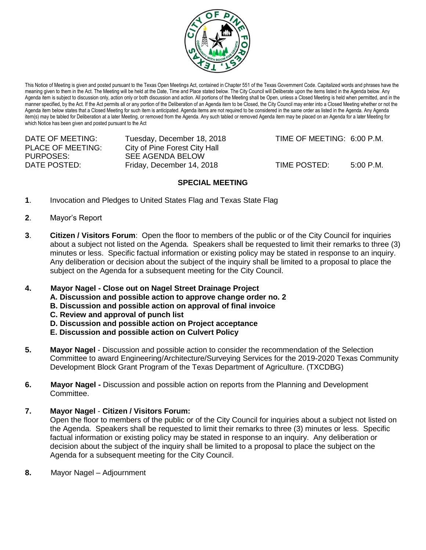

This Notice of Meeting is given and posted pursuant to the Texas Open Meetings Act, contained in Chapter 551 of the Texas Government Code. Capitalized words and phrases have the meaning given to them in the Act. The Meeting will be held at the Date, Time and Place stated below. The City Council will Deliberate upon the items listed in the Agenda below. Any Agenda item is subject to discussion only, action only or both discussion and action. All portions of the Meeting shall be Open, unless a Closed Meeting is held when permitted, and in the manner specified, by the Act. If the Act permits all or any portion of the Deliberation of an Agenda item to be Closed, the City Council may enter into a Closed Meeting whether or not the Agenda item below states that a Closed Meeting for such item is anticipated. Agenda items are not required to be considered in the same order as listed in the Agenda. Any Agenda item(s) may be tabled for Deliberation at a later Meeting, or removed from the Agenda. Any such tabled or removed Agenda item may be placed on an Agenda for a later Meeting for which Notice has been given and posted pursuant to the Act

| DATE OF MEETING:<br><b>PLACE OF MEETING:</b> | Tuesday, December 18, 2018<br>City of Pine Forest City Hall | TIME OF MEETING: 6:00 P.M. |           |
|----------------------------------------------|-------------------------------------------------------------|----------------------------|-----------|
| PURPOSES:                                    | SEE AGENDA BELOW                                            |                            |           |
| DATE POSTED:                                 | Friday, December 14, 2018                                   | TIME POSTED:               | 5:00 P.M. |

## **SPECIAL MEETING**

- **1**. Invocation and Pledges to United States Flag and Texas State Flag
- **2**. Mayor's Report
- **3**. **Citizen / Visitors Forum**: Open the floor to members of the public or of the City Council for inquiries about a subject not listed on the Agenda. Speakers shall be requested to limit their remarks to three (3) minutes or less. Specific factual information or existing policy may be stated in response to an inquiry. Any deliberation or decision about the subject of the inquiry shall be limited to a proposal to place the subject on the Agenda for a subsequent meeting for the City Council.

## **4. Mayor Nagel - Close out on Nagel Street Drainage Project**

- **A. Discussion and possible action to approve change order no. 2**
- **B. Discussion and possible action on approval of final invoice**
- **C. Review and approval of punch list**
- **D. Discussion and possible action on Project acceptance**
- **E. Discussion and possible action on Culvert Policy**
- **5. Mayor Nagel** Discussion and possible action to consider the recommendation of the Selection Committee to award Engineering/Architecture/Surveying Services for the 2019-2020 Texas Community Development Block Grant Program of the Texas Department of Agriculture. (TXCDBG)
- **6. Mayor Nagel -** Discussion and possible action on reports from the Planning and Development Committee.

## **7. Mayor Nagel** - **Citizen / Visitors Forum:**

Open the floor to members of the public or of the City Council for inquiries about a subject not listed on the Agenda. Speakers shall be requested to limit their remarks to three (3) minutes or less. Specific factual information or existing policy may be stated in response to an inquiry. Any deliberation or decision about the subject of the inquiry shall be limited to a proposal to place the subject on the Agenda for a subsequent meeting for the City Council.

**8.** Mayor Nagel – Adjournment